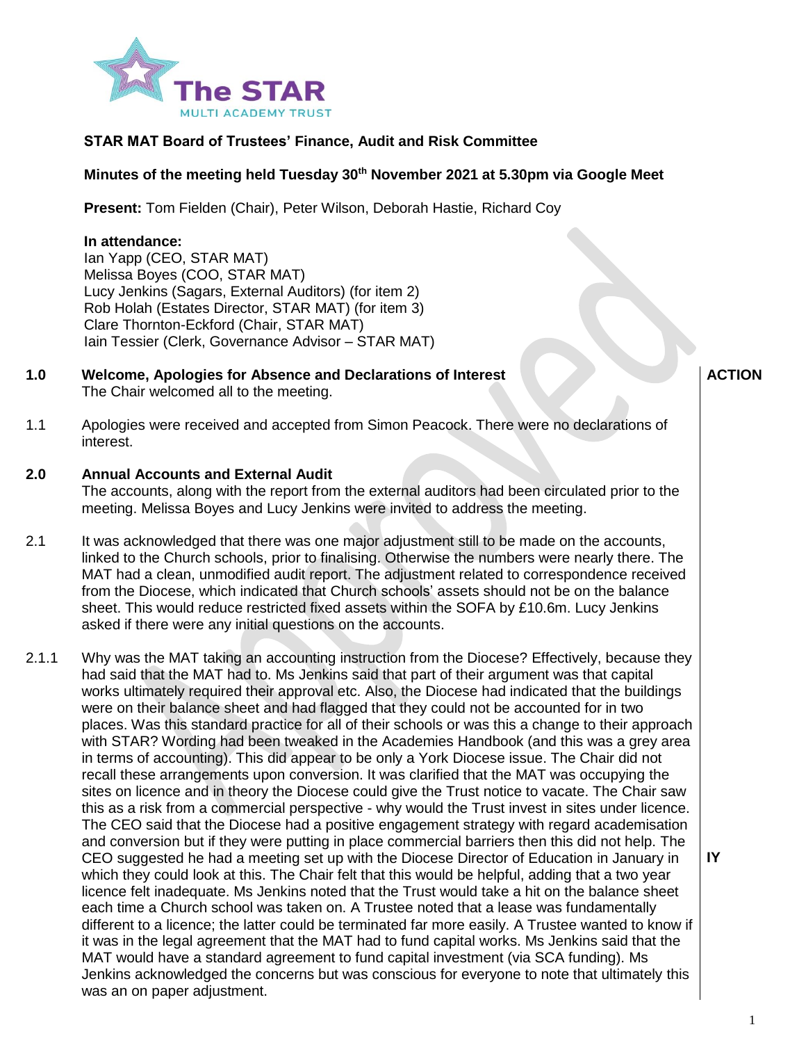

# **STAR MAT Board of Trustees' Finance, Audit and Risk Committee**

# **Minutes of the meeting held Tuesday 30th November 2021 at 5.30pm via Google Meet**

**Present:** Tom Fielden (Chair), Peter Wilson, Deborah Hastie, Richard Coy

## **In attendance:**

Ian Yapp (CEO, STAR MAT) Melissa Boyes (COO, STAR MAT) Lucy Jenkins (Sagars, External Auditors) (for item 2) Rob Holah (Estates Director, STAR MAT) (for item 3) Clare Thornton-Eckford (Chair, STAR MAT) Iain Tessier (Clerk, Governance Advisor – STAR MAT)

**1.0 Welcome, Apologies for Absence and Declarations of Interest** The Chair welcomed all to the meeting.

**ACTION**

1.1 Apologies were received and accepted from Simon Peacock. There were no declarations of interest.

#### **2.0 Annual Accounts and External Audit**

The accounts, along with the report from the external auditors had been circulated prior to the meeting. Melissa Boyes and Lucy Jenkins were invited to address the meeting.

- 2.1 It was acknowledged that there was one major adjustment still to be made on the accounts, linked to the Church schools, prior to finalising. Otherwise the numbers were nearly there. The MAT had a clean, unmodified audit report. The adjustment related to correspondence received from the Diocese, which indicated that Church schools' assets should not be on the balance sheet. This would reduce restricted fixed assets within the SOFA by £10.6m. Lucy Jenkins asked if there were any initial questions on the accounts.
- 2.1.1 Why was the MAT taking an accounting instruction from the Diocese? Effectively, because they had said that the MAT had to. Ms Jenkins said that part of their argument was that capital works ultimately required their approval etc. Also, the Diocese had indicated that the buildings were on their balance sheet and had flagged that they could not be accounted for in two places. Was this standard practice for all of their schools or was this a change to their approach with STAR? Wording had been tweaked in the Academies Handbook (and this was a grey area in terms of accounting). This did appear to be only a York Diocese issue. The Chair did not recall these arrangements upon conversion. It was clarified that the MAT was occupying the sites on licence and in theory the Diocese could give the Trust notice to vacate. The Chair saw this as a risk from a commercial perspective - why would the Trust invest in sites under licence. The CEO said that the Diocese had a positive engagement strategy with regard academisation and conversion but if they were putting in place commercial barriers then this did not help. The CEO suggested he had a meeting set up with the Diocese Director of Education in January in which they could look at this. The Chair felt that this would be helpful, adding that a two year licence felt inadequate. Ms Jenkins noted that the Trust would take a hit on the balance sheet each time a Church school was taken on. A Trustee noted that a lease was fundamentally different to a licence; the latter could be terminated far more easily. A Trustee wanted to know if it was in the legal agreement that the MAT had to fund capital works. Ms Jenkins said that the MAT would have a standard agreement to fund capital investment (via SCA funding). Ms Jenkins acknowledged the concerns but was conscious for everyone to note that ultimately this was an on paper adjustment.

**IY**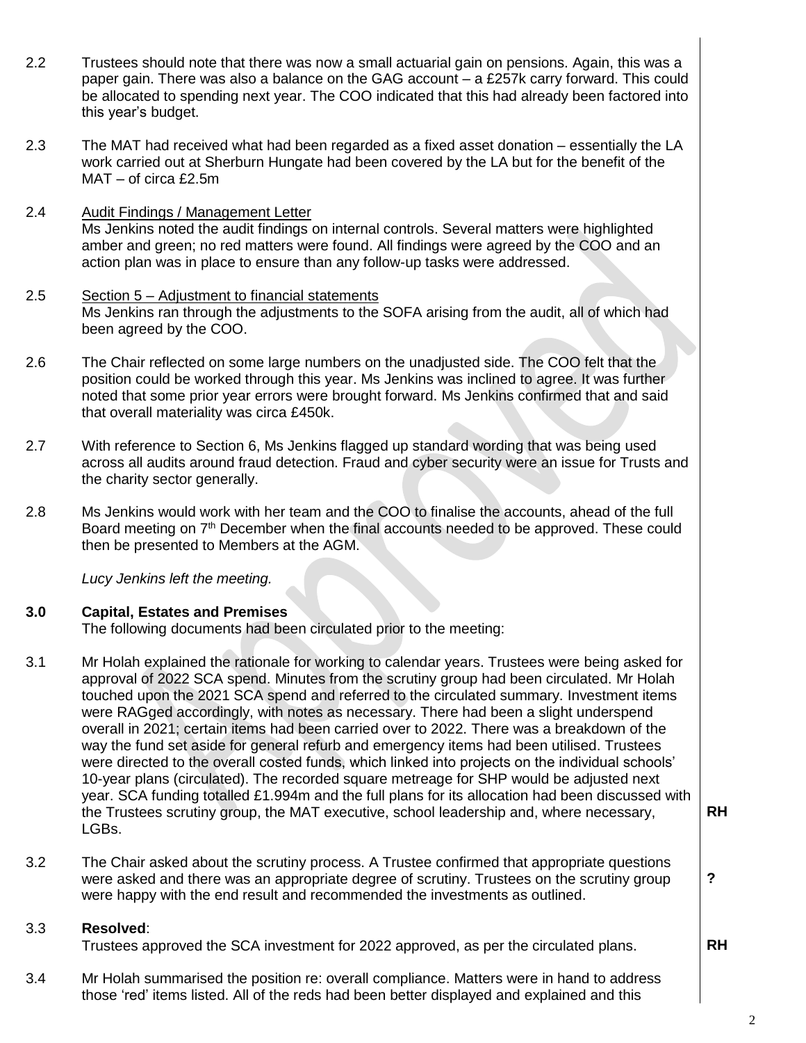- 2.2 Trustees should note that there was now a small actuarial gain on pensions. Again, this was a paper gain. There was also a balance on the GAG account – a £257k carry forward. This could be allocated to spending next year. The COO indicated that this had already been factored into this year's budget.
- 2.3 The MAT had received what had been regarded as a fixed asset donation – essentially the LA work carried out at Sherburn Hungate had been covered by the LA but for the benefit of the MAT – of circa £2.5m
- 2.4 Audit Findings / Management Letter Ms Jenkins noted the audit findings on internal controls. Several matters were highlighted amber and green; no red matters were found. All findings were agreed by the COO and an action plan was in place to ensure than any follow-up tasks were addressed.
- 2.5 Section 5 – Adjustment to financial statements Ms Jenkins ran through the adjustments to the SOFA arising from the audit, all of which had been agreed by the COO.
- 2.6 The Chair reflected on some large numbers on the unadjusted side. The COO felt that the position could be worked through this year. Ms Jenkins was inclined to agree. It was further noted that some prior year errors were brought forward. Ms Jenkins confirmed that and said that overall materiality was circa £450k.
- 2.7 With reference to Section 6, Ms Jenkins flagged up standard wording that was being used across all audits around fraud detection. Fraud and cyber security were an issue for Trusts and the charity sector generally.
- 2.8 Ms Jenkins would work with her team and the COO to finalise the accounts, ahead of the full Board meeting on 7<sup>th</sup> December when the final accounts needed to be approved. These could then be presented to Members at the AGM.

*Lucy Jenkins left the meeting.*

#### **3.0 Capital, Estates and Premises**

The following documents had been circulated prior to the meeting:

- 3.1 Mr Holah explained the rationale for working to calendar years. Trustees were being asked for approval of 2022 SCA spend. Minutes from the scrutiny group had been circulated. Mr Holah touched upon the 2021 SCA spend and referred to the circulated summary. Investment items were RAGged accordingly, with notes as necessary. There had been a slight underspend overall in 2021; certain items had been carried over to 2022. There was a breakdown of the way the fund set aside for general refurb and emergency items had been utilised. Trustees were directed to the overall costed funds, which linked into projects on the individual schools' 10-year plans (circulated). The recorded square metreage for SHP would be adjusted next year. SCA funding totalled £1.994m and the full plans for its allocation had been discussed with the Trustees scrutiny group, the MAT executive, school leadership and, where necessary, LGBs.
- 3.2 The Chair asked about the scrutiny process. A Trustee confirmed that appropriate questions were asked and there was an appropriate degree of scrutiny. Trustees on the scrutiny group were happy with the end result and recommended the investments as outlined.

#### 3.3 **Resolved**:

Trustees approved the SCA investment for 2022 approved, as per the circulated plans.

3.4 Mr Holah summarised the position re: overall compliance. Matters were in hand to address those 'red' items listed. All of the reds had been better displayed and explained and this

**RH**

**?**

**RH**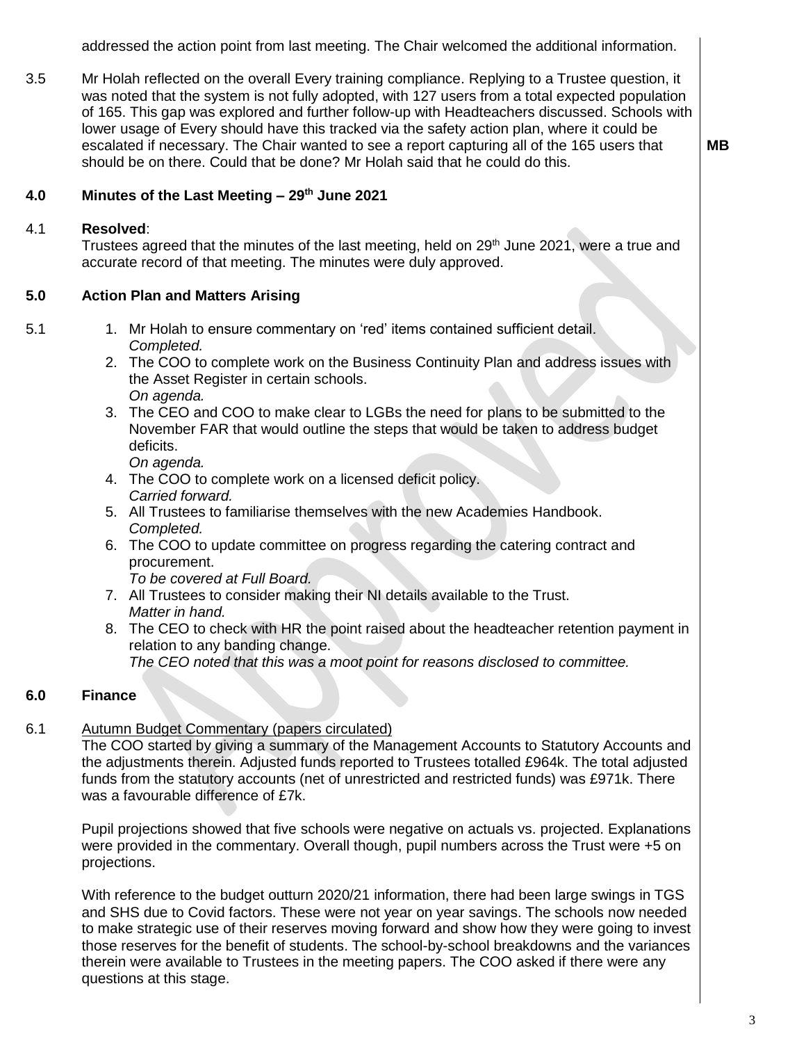addressed the action point from last meeting. The Chair welcomed the additional information.

3.5 Mr Holah reflected on the overall Every training compliance. Replying to a Trustee question, it was noted that the system is not fully adopted, with 127 users from a total expected population of 165. This gap was explored and further follow-up with Headteachers discussed. Schools with lower usage of Every should have this tracked via the safety action plan, where it could be escalated if necessary. The Chair wanted to see a report capturing all of the 165 users that should be on there. Could that be done? Mr Holah said that he could do this.

#### **4.0 Minutes of the Last Meeting – 29th June 2021**

#### 4.1 **Resolved**:

Trustees agreed that the minutes of the last meeting, held on 29<sup>th</sup> June 2021, were a true and accurate record of that meeting. The minutes were duly approved.

#### **5.0 Action Plan and Matters Arising**

- 5.1 1. Mr Holah to ensure commentary on 'red' items contained sufficient detail. *Completed.*
	- 2. The COO to complete work on the Business Continuity Plan and address issues with the Asset Register in certain schools. *On agenda.*
	- 3. The CEO and COO to make clear to LGBs the need for plans to be submitted to the November FAR that would outline the steps that would be taken to address budget deficits.

*On agenda.*

- 4. The COO to complete work on a licensed deficit policy. *Carried forward.*
- 5. All Trustees to familiarise themselves with the new Academies Handbook. *Completed.*
- 6. The COO to update committee on progress regarding the catering contract and procurement.

*To be covered at Full Board.*

- 7. All Trustees to consider making their NI details available to the Trust. *Matter in hand.*
- 8. The CEO to check with HR the point raised about the headteacher retention payment in relation to any banding change. *The CEO noted that this was a moot point for reasons disclosed to committee.*

#### **6.0 Finance**

#### 6.1 Autumn Budget Commentary (papers circulated)

The COO started by giving a summary of the Management Accounts to Statutory Accounts and the adjustments therein. Adjusted funds reported to Trustees totalled £964k. The total adjusted funds from the statutory accounts (net of unrestricted and restricted funds) was £971k. There was a favourable difference of £7k.

Pupil projections showed that five schools were negative on actuals vs. projected. Explanations were provided in the commentary. Overall though, pupil numbers across the Trust were +5 on projections.

With reference to the budget outturn 2020/21 information, there had been large swings in TGS and SHS due to Covid factors. These were not year on year savings. The schools now needed to make strategic use of their reserves moving forward and show how they were going to invest those reserves for the benefit of students. The school-by-school breakdowns and the variances therein were available to Trustees in the meeting papers. The COO asked if there were any questions at this stage.

**MB**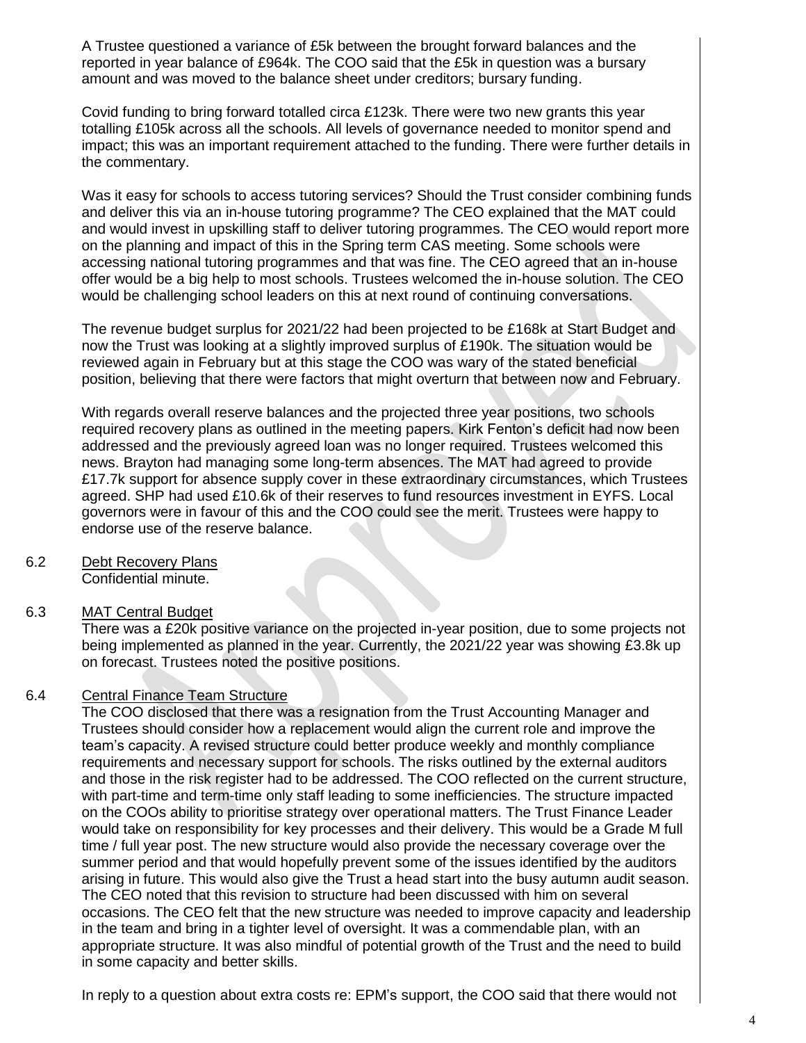A Trustee questioned a variance of £5k between the brought forward balances and the reported in year balance of £964k. The COO said that the £5k in question was a bursary amount and was moved to the balance sheet under creditors; bursary funding.

Covid funding to bring forward totalled circa £123k. There were two new grants this year totalling £105k across all the schools. All levels of governance needed to monitor spend and impact; this was an important requirement attached to the funding. There were further details in the commentary.

Was it easy for schools to access tutoring services? Should the Trust consider combining funds and deliver this via an in-house tutoring programme? The CEO explained that the MAT could and would invest in upskilling staff to deliver tutoring programmes. The CEO would report more on the planning and impact of this in the Spring term CAS meeting. Some schools were accessing national tutoring programmes and that was fine. The CEO agreed that an in-house offer would be a big help to most schools. Trustees welcomed the in-house solution. The CEO would be challenging school leaders on this at next round of continuing conversations.

The revenue budget surplus for 2021/22 had been projected to be £168k at Start Budget and now the Trust was looking at a slightly improved surplus of £190k. The situation would be reviewed again in February but at this stage the COO was wary of the stated beneficial position, believing that there were factors that might overturn that between now and February.

With regards overall reserve balances and the projected three year positions, two schools required recovery plans as outlined in the meeting papers. Kirk Fenton's deficit had now been addressed and the previously agreed loan was no longer required. Trustees welcomed this news. Brayton had managing some long-term absences. The MAT had agreed to provide £17.7k support for absence supply cover in these extraordinary circumstances, which Trustees agreed. SHP had used £10.6k of their reserves to fund resources investment in EYFS. Local governors were in favour of this and the COO could see the merit. Trustees were happy to endorse use of the reserve balance.

6.2 Debt Recovery Plans Confidential minute.

#### 6.3 MAT Central Budget

There was a £20k positive variance on the projected in-year position, due to some projects not being implemented as planned in the year. Currently, the 2021/22 year was showing £3.8k up on forecast. Trustees noted the positive positions.

#### 6.4 Central Finance Team Structure

The COO disclosed that there was a resignation from the Trust Accounting Manager and Trustees should consider how a replacement would align the current role and improve the team's capacity. A revised structure could better produce weekly and monthly compliance requirements and necessary support for schools. The risks outlined by the external auditors and those in the risk register had to be addressed. The COO reflected on the current structure, with part-time and term-time only staff leading to some inefficiencies. The structure impacted on the COOs ability to prioritise strategy over operational matters. The Trust Finance Leader would take on responsibility for key processes and their delivery. This would be a Grade M full time / full year post. The new structure would also provide the necessary coverage over the summer period and that would hopefully prevent some of the issues identified by the auditors arising in future. This would also give the Trust a head start into the busy autumn audit season. The CEO noted that this revision to structure had been discussed with him on several occasions. The CEO felt that the new structure was needed to improve capacity and leadership in the team and bring in a tighter level of oversight. It was a commendable plan, with an appropriate structure. It was also mindful of potential growth of the Trust and the need to build in some capacity and better skills.

In reply to a question about extra costs re: EPM's support, the COO said that there would not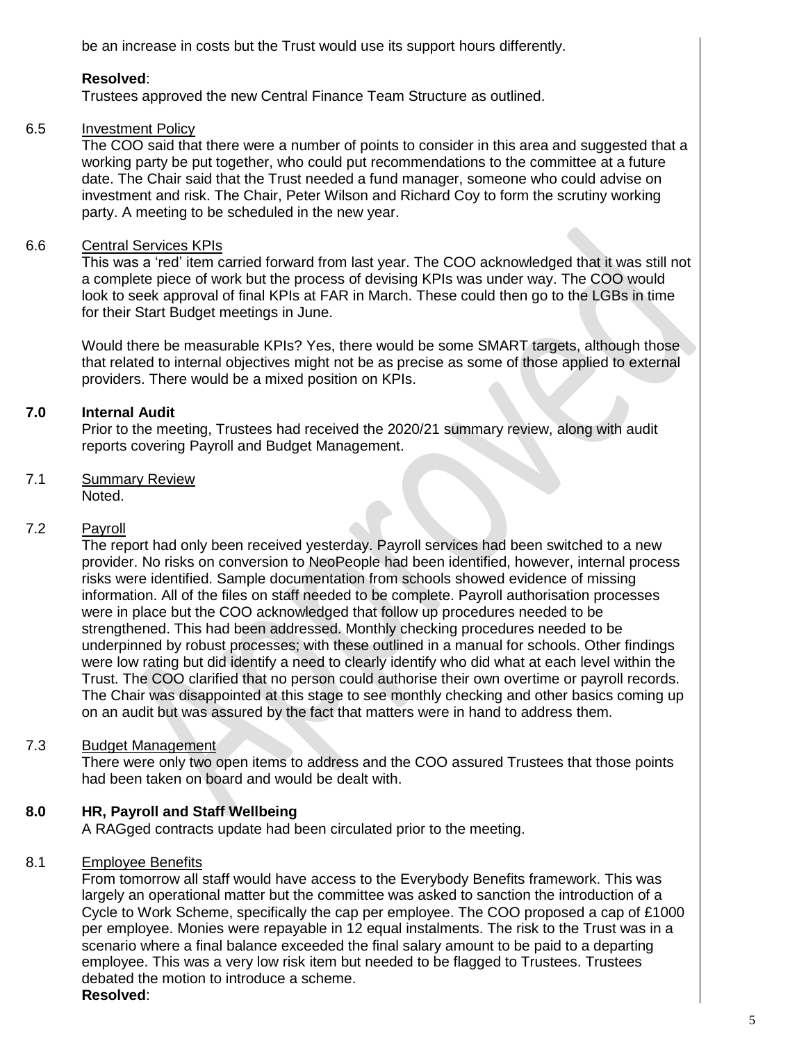be an increase in costs but the Trust would use its support hours differently.

# **Resolved**:

Trustees approved the new Central Finance Team Structure as outlined.

#### 6.5 Investment Policy

The COO said that there were a number of points to consider in this area and suggested that a working party be put together, who could put recommendations to the committee at a future date. The Chair said that the Trust needed a fund manager, someone who could advise on investment and risk. The Chair, Peter Wilson and Richard Coy to form the scrutiny working party. A meeting to be scheduled in the new year.

#### 6.6 Central Services KPIs

This was a 'red' item carried forward from last year. The COO acknowledged that it was still not a complete piece of work but the process of devising KPIs was under way. The COO would look to seek approval of final KPIs at FAR in March. These could then go to the LGBs in time for their Start Budget meetings in June.

Would there be measurable KPIs? Yes, there would be some SMART targets, although those that related to internal objectives might not be as precise as some of those applied to external providers. There would be a mixed position on KPIs.

#### **7.0 Internal Audit**

Prior to the meeting, Trustees had received the 2020/21 summary review, along with audit reports covering Payroll and Budget Management.

7.1 Summary Review Noted.

#### 7.2 Payroll

The report had only been received yesterday. Payroll services had been switched to a new provider. No risks on conversion to NeoPeople had been identified, however, internal process risks were identified. Sample documentation from schools showed evidence of missing information. All of the files on staff needed to be complete. Payroll authorisation processes were in place but the COO acknowledged that follow up procedures needed to be strengthened. This had been addressed. Monthly checking procedures needed to be underpinned by robust processes; with these outlined in a manual for schools. Other findings were low rating but did identify a need to clearly identify who did what at each level within the Trust. The COO clarified that no person could authorise their own overtime or payroll records. The Chair was disappointed at this stage to see monthly checking and other basics coming up on an audit but was assured by the fact that matters were in hand to address them.

#### 7.3 Budget Management

There were only two open items to address and the COO assured Trustees that those points had been taken on board and would be dealt with.

#### **8.0 HR, Payroll and Staff Wellbeing**

A RAGged contracts update had been circulated prior to the meeting.

#### 8.1 Employee Benefits

From tomorrow all staff would have access to the Everybody Benefits framework. This was largely an operational matter but the committee was asked to sanction the introduction of a Cycle to Work Scheme, specifically the cap per employee. The COO proposed a cap of £1000 per employee. Monies were repayable in 12 equal instalments. The risk to the Trust was in a scenario where a final balance exceeded the final salary amount to be paid to a departing employee. This was a very low risk item but needed to be flagged to Trustees. Trustees debated the motion to introduce a scheme.

**Resolved**: